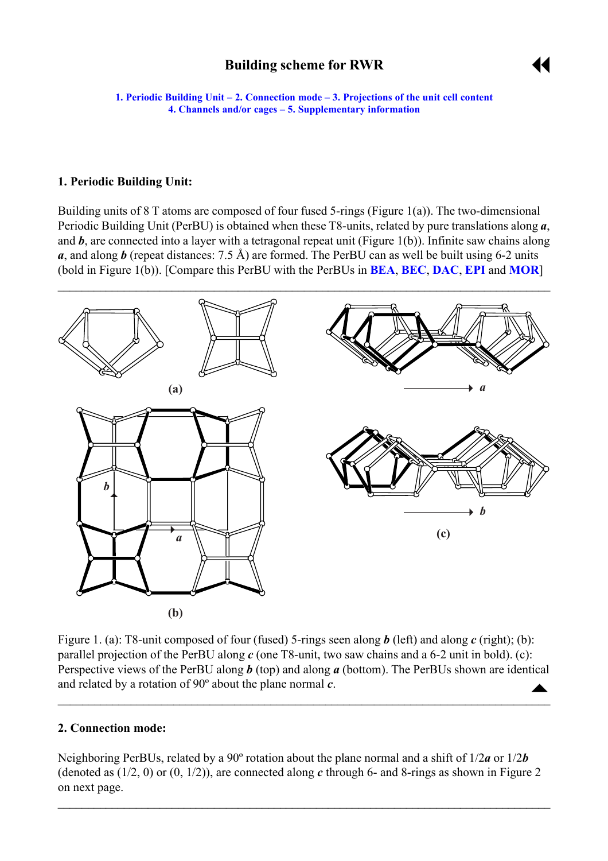# **Building scheme for RWR**



<span id="page-0-0"></span>**1. Periodic Building Unit – 2. Connection mode – [3. Projections of the unit cell](#page-1-0) content [4. Channels and/or cages](#page-2-0) ñ [5. Supplementary information](#page-2-0)**

### **1. Periodic Building Unit:**

Building units of  $8$  T atoms are composed of four fused 5-rings (Figure 1(a)). The two-dimensional Periodic Building Unit (PerBU) is obtained when these T8-units, related by pure translations along *a*, and **b**, are connected into a layer with a tetragonal repeat unit (Figure 1(b)). Infinite saw chains along *a*, and along *b* (repeat distances: 7.5 Å) are formed. The PerBU can as well be built using 6-2 units (bold in Figure 1(b)). [Compare this PerBU with the PerBUs in **[BEA](http://www.iza-structure.org/databases/ModelBuilding/BEA.pdf)**, **[BEC](http://www.iza-structure.org/databases/ModelBuilding/BEA.pdf)**, **[DAC](http://www.iza-structure.org/databases/ModelBuilding/DAC.pdf)**, **[EPI](http://www.iza-structure.org/databases/ModelBuilding/EPI.pdf)** and **[MOR](http://www.iza-structure.org/databases/ModelBuilding/MOR.pdf)**]



 $\blacktriangle$ Figure 1. (a): T8-unit composed of four (fused) 5-rings seen along *b* (left) and along *c* (right); (b): parallel projection of the PerBU along *c* (one T8-unit, two saw chains and a 6-2 unit in bold). (c): Perspective views of the PerBU along *b* (top) and along *a* (bottom). The PerBUs shown are identical and related by a rotation of 90º about the plane normal *c*.

 $\mathcal{L}_\mathcal{L} = \{ \mathcal{L}_\mathcal{L} = \{ \mathcal{L}_\mathcal{L} = \{ \mathcal{L}_\mathcal{L} = \{ \mathcal{L}_\mathcal{L} = \{ \mathcal{L}_\mathcal{L} = \{ \mathcal{L}_\mathcal{L} = \{ \mathcal{L}_\mathcal{L} = \{ \mathcal{L}_\mathcal{L} = \{ \mathcal{L}_\mathcal{L} = \{ \mathcal{L}_\mathcal{L} = \{ \mathcal{L}_\mathcal{L} = \{ \mathcal{L}_\mathcal{L} = \{ \mathcal{L}_\mathcal{L} = \{ \mathcal{L}_\mathcal{$ 

#### **2. Connection mode:**

Neighboring PerBUs, related by a 90º rotation about the plane normal and a shift of 1/2*a* or 1/2*b* (denoted as (1/2, 0) or (0, 1/2)), are connected along *c* through 6- and 8-rings as shown in Figure 2 on next page.

 $\mathcal{L}_\mathcal{L} = \mathcal{L}_\mathcal{L} = \mathcal{L}_\mathcal{L} = \mathcal{L}_\mathcal{L} = \mathcal{L}_\mathcal{L} = \mathcal{L}_\mathcal{L} = \mathcal{L}_\mathcal{L} = \mathcal{L}_\mathcal{L} = \mathcal{L}_\mathcal{L} = \mathcal{L}_\mathcal{L} = \mathcal{L}_\mathcal{L} = \mathcal{L}_\mathcal{L} = \mathcal{L}_\mathcal{L} = \mathcal{L}_\mathcal{L} = \mathcal{L}_\mathcal{L} = \mathcal{L}_\mathcal{L} = \mathcal{L}_\mathcal{L}$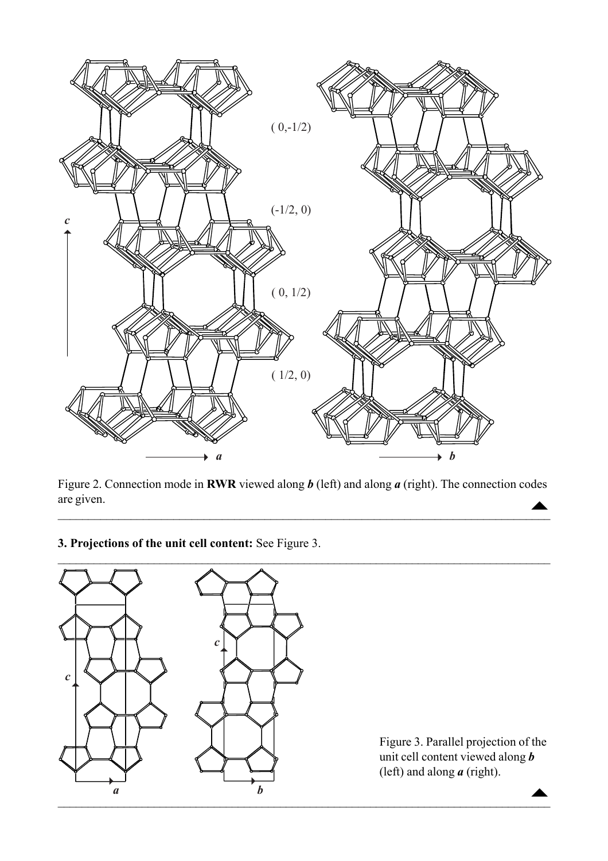<span id="page-1-0"></span>

 $\blacktriangle$ Figure 2. Connection mode in **RWR** viewed along *b* (left) and along *a* (right). The connection codes are given.

 $\mathcal{L}_\mathcal{L} = \mathcal{L}_\mathcal{L} = \mathcal{L}_\mathcal{L} = \mathcal{L}_\mathcal{L} = \mathcal{L}_\mathcal{L} = \mathcal{L}_\mathcal{L} = \mathcal{L}_\mathcal{L} = \mathcal{L}_\mathcal{L} = \mathcal{L}_\mathcal{L} = \mathcal{L}_\mathcal{L} = \mathcal{L}_\mathcal{L} = \mathcal{L}_\mathcal{L} = \mathcal{L}_\mathcal{L} = \mathcal{L}_\mathcal{L} = \mathcal{L}_\mathcal{L} = \mathcal{L}_\mathcal{L} = \mathcal{L}_\mathcal{L}$ 

 $\mathcal{L}_\mathcal{L} = \{ \mathcal{L}_\mathcal{L} = \{ \mathcal{L}_\mathcal{L} = \{ \mathcal{L}_\mathcal{L} = \{ \mathcal{L}_\mathcal{L} = \{ \mathcal{L}_\mathcal{L} = \{ \mathcal{L}_\mathcal{L} = \{ \mathcal{L}_\mathcal{L} = \{ \mathcal{L}_\mathcal{L} = \{ \mathcal{L}_\mathcal{L} = \{ \mathcal{L}_\mathcal{L} = \{ \mathcal{L}_\mathcal{L} = \{ \mathcal{L}_\mathcal{L} = \{ \mathcal{L}_\mathcal{L} = \{ \mathcal{L}_\mathcal{$ 

**3. Projections of the unit cell content:** See Figure 3.



Figure 3. Parallel projection of the unit cell content viewed along *b* (left) and along *a* (right).

 $\blacktriangle$